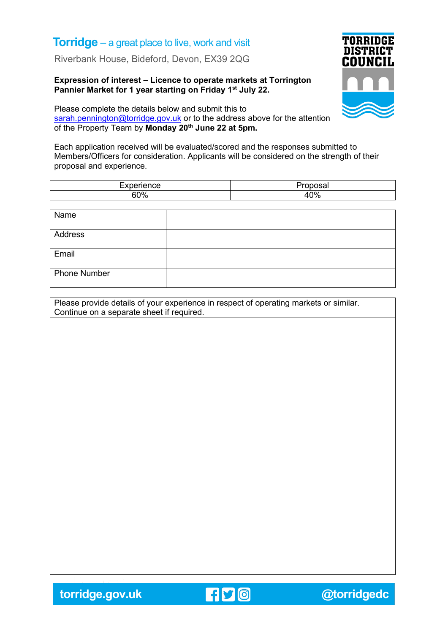## **Torridge** – a great place to live, work and visit

Riverbank House, Bideford, Devon, EX39 2QG

## **Expression of interest – Licence to operate markets at Torrington Pannier Market for 1 year starting on Friday 1st July 22.**



Please complete the details below and submit this to [sarah.pennington@torridge.gov.uk](mailto:sarah.pennington@torridge.gov.uk) or to the address above for the attention of the Property Team by **Monday 20th June 22 at 5pm.**

Each application received will be evaluated/scored and the responses submitted to Members/Officers for consideration. Applicants will be considered on the strength of their proposal and experience.

| $-$                            |                |
|--------------------------------|----------------|
| <b>000</b><br>. u<br>70<br>־טט | 10%<br>ט / סיז |

| Name                |  |
|---------------------|--|
| Address             |  |
| Email               |  |
| <b>Phone Number</b> |  |

Please provide details of your experience in respect of operating markets or similar. Continue on a separate sheet if required.